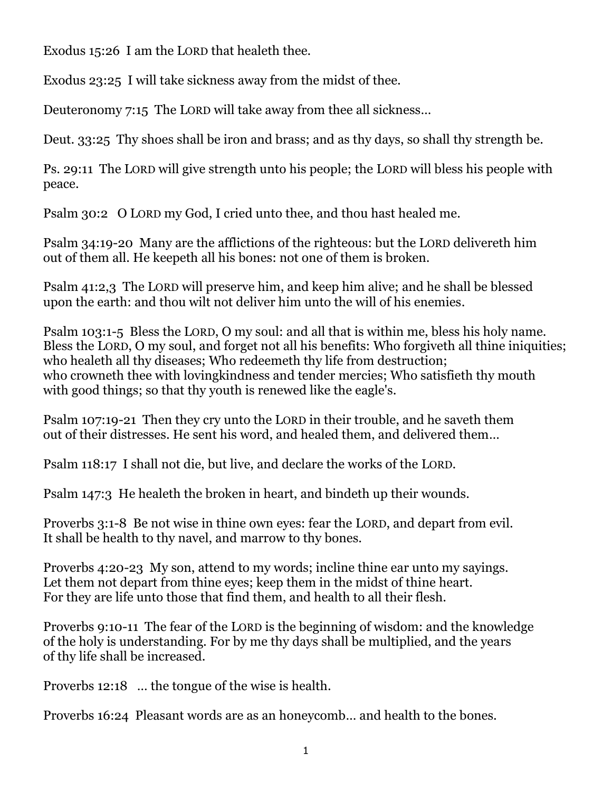Exodus 15:26 I am the LORD that healeth thee.

Exodus 23:25 I will take sickness away from the midst of thee.

Deuteronomy 7:15 The LORD will take away from thee all sickness…

Deut. 33:25 Thy shoes shall be iron and brass; and as thy days, so shall thy strength be.

Ps. 29:11 The LORD will give strength unto his people; the LORD will bless his people with peace.

Psalm 30:2 O LORD my God, I cried unto thee, and thou hast healed me.

Psalm 34:19-20 Many are the afflictions of the righteous: but the LORD delivereth him out of them all. He keepeth all his bones: not one of them is broken.

Psalm 41:2,3 The LORD will preserve him, and keep him alive; and he shall be blessed upon the earth: and thou wilt not deliver him unto the will of his enemies.

Psalm 103:1-5 Bless the LORD, O my soul: and all that is within me, bless his holy name. Bless the LORD, O my soul, and forget not all his benefits: Who forgiveth all thine iniquities; who healeth all thy diseases; Who redeemeth thy life from destruction; who crowneth thee with lovingkindness and tender mercies; Who satisfieth thy mouth with good things; so that thy youth is renewed like the eagle's.

Psalm 107:19-21 Then they cry unto the LORD in their trouble, and he saveth them out of their distresses. He sent his word, and healed them, and delivered them…

Psalm 118:17 I shall not die, but live, and declare the works of the LORD.

Psalm 147:3 He healeth the broken in heart, and bindeth up their wounds.

Proverbs 3:1-8 Be not wise in thine own eyes: fear the LORD, and depart from evil. It shall be health to thy navel, and marrow to thy bones.

Proverbs 4:20-23 My son, attend to my words; incline thine ear unto my sayings. Let them not depart from thine eyes; keep them in the midst of thine heart. For they are life unto those that find them, and health to all their flesh.

Proverbs 9:10-11 The fear of the LORD is the beginning of wisdom: and the knowledge of the holy is understanding. For by me thy days shall be multiplied, and the years of thy life shall be increased.

Proverbs 12:18 … the tongue of the wise is health.

Proverbs 16:24 Pleasant words are as an honeycomb… and health to the bones.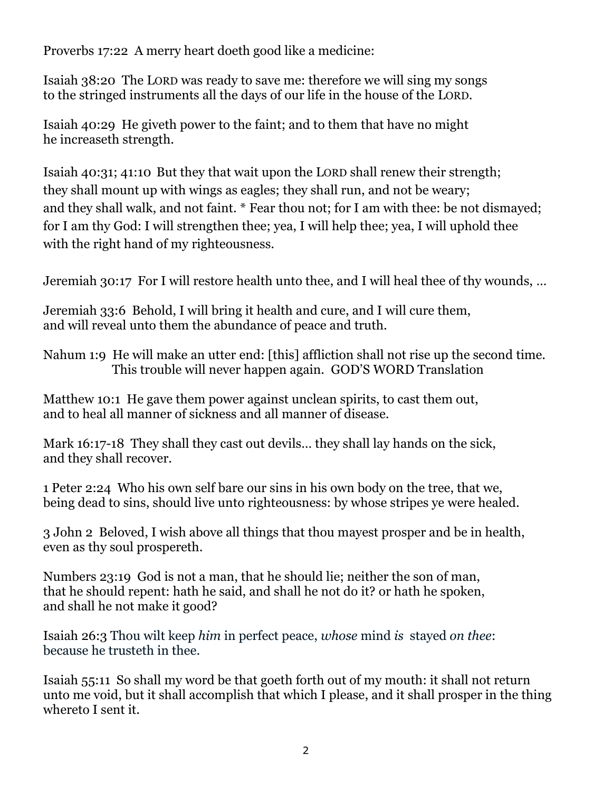Proverbs 17:22 A merry heart doeth good like a medicine:

Isaiah 38:20 The LORD was ready to save me: therefore we will sing my songs to the stringed instruments all the days of our life in the house of the LORD.

Isaiah 40:29 He giveth power to the faint; and to them that have no might he increaseth strength.

Isaiah 40:31; 41:10 But they that wait upon the LORD shall renew their strength; they shall mount up with wings as eagles; they shall run, and not be weary; and they shall walk, and not faint. \* Fear thou not; for I am with thee: be not dismayed; for I am thy God: I will strengthen thee; yea, I will help thee; yea, I will uphold thee with the right hand of my righteousness.

Jeremiah 30:17 For I will restore health unto thee, and I will heal thee of thy wounds, …

Jeremiah 33:6 Behold, I will bring it health and cure, and I will cure them, and will reveal unto them the abundance of peace and truth.

Nahum 1:9 He will make an utter end: [this] affliction shall not rise up the second time. This trouble will never happen again. GOD'S WORD Translation

Matthew 10:1 He gave them power against unclean spirits, to cast them out, and to heal all manner of sickness and all manner of disease.

Mark 16:17-18 They shall they cast out devils... they shall lay hands on the sick, and they shall recover.

1 Peter 2:24 Who his own self bare our sins in his own body on the tree, that we, being dead to sins, should live unto righteousness: by whose stripes ye were healed.

3 John 2 Beloved, I wish above all things that thou mayest prosper and be in health, even as thy soul prospereth.

Numbers 23:19 God is not a man, that he should lie; neither the son of man, that he should repent: hath he said, and shall he not do it? or hath he spoken, and shall he not make it good?

Isaiah 26:3 Thou wilt keep *him* in perfect peace, *whose* mind *is* stayed *on thee*: because he trusteth in thee.

Isaiah 55:11 So shall my word be that goeth forth out of my mouth: it shall not return unto me void, but it shall accomplish that which I please, and it shall prosper in the thing whereto I sent it.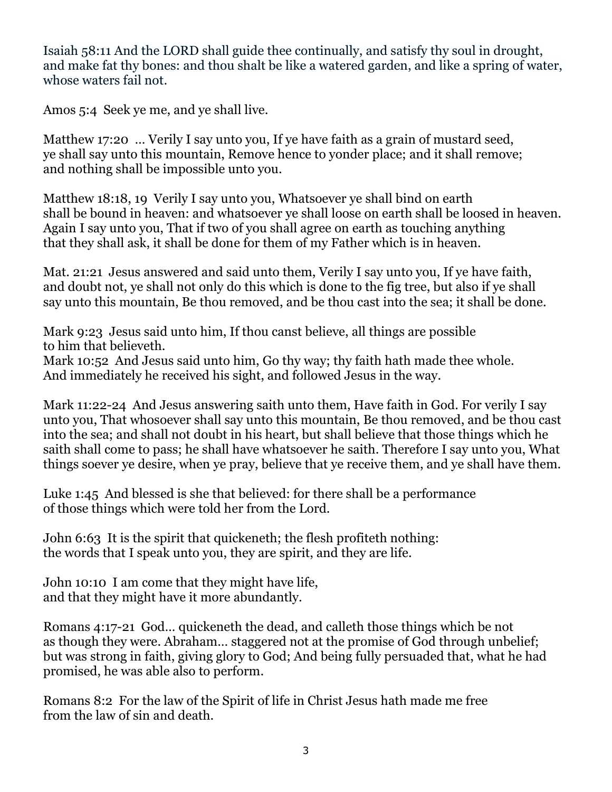Isaiah 58:11 And the LORD shall guide thee continually, and satisfy thy soul in drought, and make fat thy bones: and thou shalt be like a watered garden, and like a spring of water, whose waters fail not.

Amos 5:4 Seek ye me, and ye shall live.

Matthew 17:20 … Verily I say unto you, If ye have faith as a grain of mustard seed, ye shall say unto this mountain, Remove hence to yonder place; and it shall remove; and nothing shall be impossible unto you.

Matthew 18:18, 19 Verily I say unto you, Whatsoever ye shall bind on earth shall be bound in heaven: and whatsoever ye shall loose on earth shall be loosed in heaven. Again I say unto you, That if two of you shall agree on earth as touching anything that they shall ask, it shall be done for them of my Father which is in heaven.

Mat. 21:21 Jesus answered and said unto them, Verily I say unto you, If ye have faith, and doubt not, ye shall not only do this which is done to the fig tree, but also if ye shall say unto this mountain, Be thou removed, and be thou cast into the sea; it shall be done.

Mark 9:23 Jesus said unto him, If thou canst believe, all things are possible to him that believeth.

Mark 10:52 And Jesus said unto him, Go thy way; thy faith hath made thee whole. And immediately he received his sight, and followed Jesus in the way.

Mark 11:22-24 And Jesus answering saith unto them, Have faith in God. For verily I say unto you, That whosoever shall say unto this mountain, Be thou removed, and be thou cast into the sea; and shall not doubt in his heart, but shall believe that those things which he saith shall come to pass; he shall have whatsoever he saith. Therefore I say unto you, What things soever ye desire, when ye pray, believe that ye receive them, and ye shall have them.

Luke 1:45 And blessed is she that believed: for there shall be a performance of those things which were told her from the Lord.

John 6:63 It is the spirit that quickeneth; the flesh profiteth nothing: the words that I speak unto you, they are spirit, and they are life.

John 10:10 I am come that they might have life, and that they might have it more abundantly.

Romans 4:17-21 God… quickeneth the dead, and calleth those things which be not as though they were. Abraham… staggered not at the promise of God through unbelief; but was strong in faith, giving glory to God; And being fully persuaded that, what he had promised, he was able also to perform.

Romans 8:2 For the law of the Spirit of life in Christ Jesus hath made me free from the law of sin and death.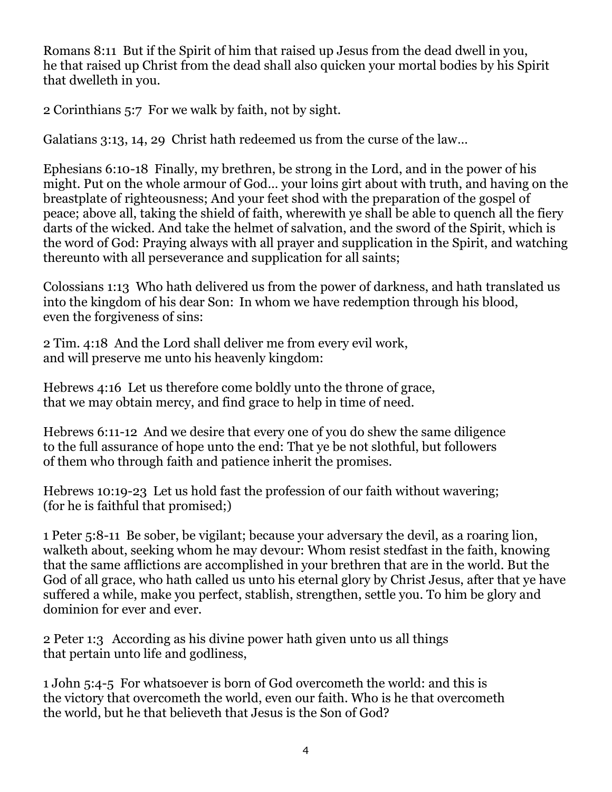Romans 8:11 But if the Spirit of him that raised up Jesus from the dead dwell in you, he that raised up Christ from the dead shall also quicken your mortal bodies by his Spirit that dwelleth in you.

2 Corinthians 5:7 For we walk by faith, not by sight.

Galatians 3:13, 14, 29 Christ hath redeemed us from the curse of the law…

Ephesians 6:10-18 Finally, my brethren, be strong in the Lord, and in the power of his might. Put on the whole armour of God… your loins girt about with truth, and having on the breastplate of righteousness; And your feet shod with the preparation of the gospel of peace; above all, taking the shield of faith, wherewith ye shall be able to quench all the fiery darts of the wicked. And take the helmet of salvation, and the sword of the Spirit, which is the word of God: Praying always with all prayer and supplication in the Spirit, and watching thereunto with all perseverance and supplication for all saints;

Colossians 1:13 Who hath delivered us from the power of darkness, and hath translated us into the kingdom of his dear Son: In whom we have redemption through his blood, even the forgiveness of sins:

2 Tim. 4:18 And the Lord shall deliver me from every evil work, and will preserve me unto his heavenly kingdom:

Hebrews 4:16 Let us therefore come boldly unto the throne of grace, that we may obtain mercy, and find grace to help in time of need.

Hebrews 6:11-12 And we desire that every one of you do shew the same diligence to the full assurance of hope unto the end: That ye be not slothful, but followers of them who through faith and patience inherit the promises.

Hebrews 10:19-23 Let us hold fast the profession of our faith without wavering; (for he is faithful that promised;)

1 Peter 5:8-11 Be sober, be vigilant; because your adversary the devil, as a roaring lion, walketh about, seeking whom he may devour: Whom resist stedfast in the faith, knowing that the same afflictions are accomplished in your brethren that are in the world. But the God of all grace, who hath called us unto his eternal glory by Christ Jesus, after that ye have suffered a while, make you perfect, stablish, strengthen, settle you. To him be glory and dominion for ever and ever.

2 Peter 1:3 According as his divine power hath given unto us all things that pertain unto life and godliness,

1 John 5:4-5 For whatsoever is born of God overcometh the world: and this is the victory that overcometh the world, even our faith. Who is he that overcometh the world, but he that believeth that Jesus is the Son of God?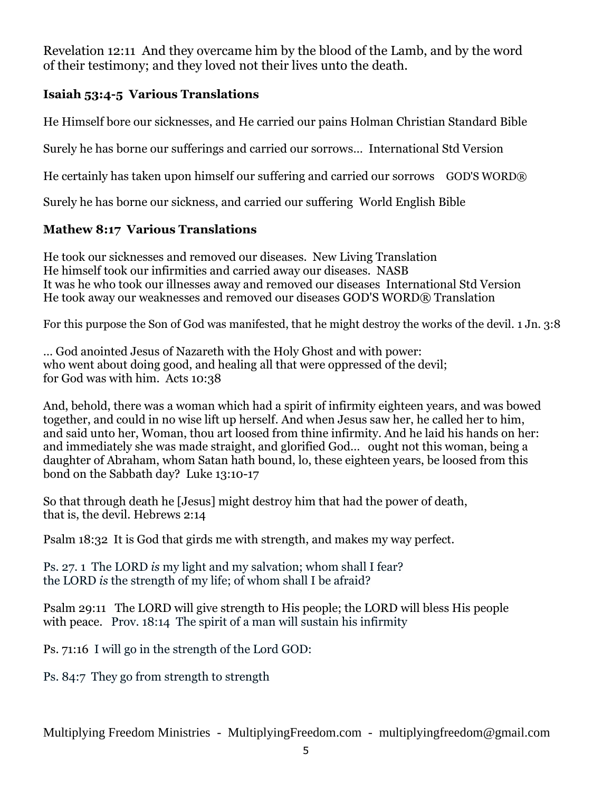Revelation 12:11 And they overcame him by the blood of the Lamb, and by the word of their testimony; and they loved not their lives unto the death.

## **Isaiah 53:4-5 Various Translations**

He Himself bore our sicknesses, and He carried our pains Holman Christian Standard Bible

Surely he has borne our sufferings and carried our sorrows… International Std Version

He certainly has taken upon himself our suffering and carried our sorrows GOD'S WORD®

Surely he has borne our sickness, and carried our suffering [World English Bible](http://biblehub.com/web/isaiah/53.htm)

## **Mathew 8:17 Various Translations**

He took our sicknesses and removed our diseases. New Living Translation He himself took our infirmities and carried away our diseases. NASB It was he who took our illnesses away and removed our diseases International Std Version He took away our weaknesses and removed our diseases [GOD'S WORD® Translation](http://biblehub.com/gwt/isaiah/53.htm)

For this purpose the Son of God was manifested, that he might destroy the works of the devil. 1 Jn. 3:8

… God anointed Jesus of Nazareth with the Holy Ghost and with power: who went about doing good, and healing all that were oppressed of the devil; for God was with him. Acts 10:38

And, behold, there was a woman which had a spirit of infirmity eighteen years, and was bowed together, and could in no wise lift up herself. And when Jesus saw her, he called her to him, and said unto her, Woman, thou art loosed from thine infirmity. And he laid his hands on her: and immediately she was made straight, and glorified God… ought not this woman, being a daughter of Abraham, whom Satan hath bound, lo, these eighteen years, be loosed from this bond on the Sabbath day? Luke 13:10-17

So that through death he [Jesus] might destroy him that had the power of death, that is, the devil. Hebrews 2:14

Psalm 18:32 It is God that girds me with strength, and makes my way perfect.

Ps. 27. 1 The LORD *is* my light and my salvation; whom shall I fear? the LORD *is* the strength of my life; of whom shall I be afraid?

Psalm 29:11 The LORD will give strength to His people; the LORD will bless His people with peace. Prov. 18:14 The spirit of a man will sustain his infirmity

Ps. 71:16 I will go in the strength of the Lord GOD:

Ps. 84:7 They go from strength to strength

Multiplying Freedom Ministries - MultiplyingFreedom.com - multiplyingfreedom@gmail.com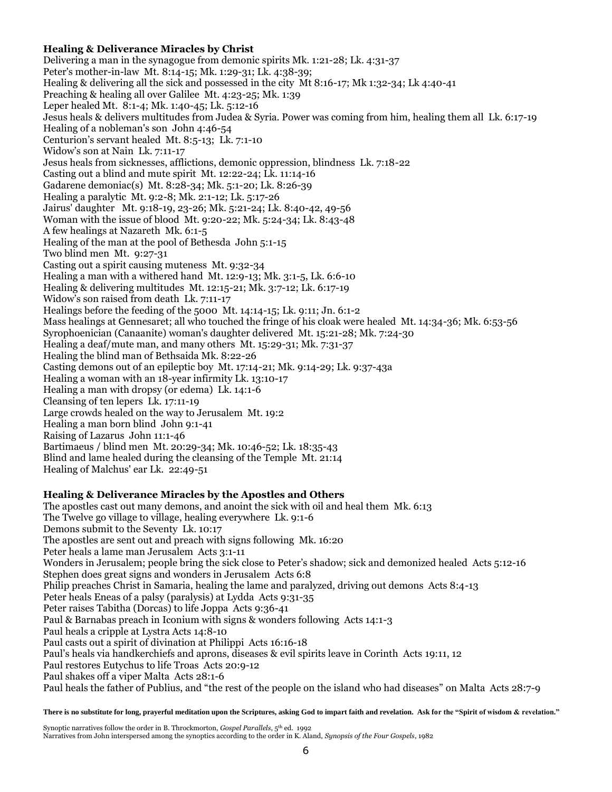## **Healing & Deliverance Miracles by Christ**

Delivering a man in the synagogue from demonic spirits Mk. 1:21-28; Lk. 4:31-37 Peter's mother-in-law Mt. 8:14-15; Mk. 1:29-31; Lk. 4:38-39; Healing & delivering all the sick and possessed in the city Mt 8:16-17; Mk 1:32-34; Lk 4:40-41 Preaching & healing all over Galilee Mt. 4:23-25; Mk. 1:39 Leper healed Mt. 8:1-4; Mk. 1:40-45; Lk. 5:12-16 Jesus heals & delivers multitudes from Judea & Syria. Power was coming from him, healing them all Lk. 6:17-19 Healing of a nobleman's son John 4:46-54 Centurion's servant healed Mt. 8:5-13; Lk. 7:1-10 Widow's son at Nain Lk. 7:11-17 Jesus heals from sicknesses, afflictions, demonic oppression, blindness Lk. 7:18-22 Casting out a blind and mute spirit Mt. 12:22-24; Lk. 11:14-16 Gadarene demoniac(s) Mt. 8:28-34; Mk. 5:1-20; Lk. 8:26-39 Healing a paralytic Mt. 9:2-8; Mk. 2:1-12; Lk. 5:17-26 Jairus' daughter Mt. 9:18-19, 23-26; Mk. 5:21-24; Lk. 8:40-42, 49-56 Woman with the issue of blood Mt. 9:20-22; Mk. 5:24-34; Lk. 8:43-48 A few healings at Nazareth Mk. 6:1-5 Healing of the man at the pool of Bethesda John 5:1-15 Two blind men Mt. 9:27-31 Casting out a spirit causing muteness Mt. 9:32-34 Healing a man with a withered hand Mt. 12:9-13; Mk. 3:1-5, Lk. 6:6-10 Healing & delivering multitudes Mt. 12:15-21; Mk. 3:7-12; Lk. 6:17-19 Widow's son raised from death Lk. 7:11-17 Healings before the feeding of the 5000 Mt. 14:14-15; Lk. 9:11; Jn. 6:1-2 Mass healings at Gennesaret; all who touched the fringe of his cloak were healed Mt. 14:34-36; Mk. 6:53-56 Syrophoenician (Canaanite) woman's daughter delivered Mt. 15:21-28; Mk. 7:24-30 Healing a deaf/mute man, and many others Mt. 15:29-31; Mk. 7:31-37 Healing the blind man of Bethsaida Mk. 8:22-26 Casting demons out of an epileptic boy Mt. 17:14-21; Mk. 9:14-29; Lk. 9:37-43a Healing a woman with an 18-year infirmity Lk. 13:10-17 Healing a man with dropsy (or edema) Lk. 14:1-6 Cleansing of ten lepers Lk. 17:11-19 Large crowds healed on the way to Jerusalem Mt. 19:2 Healing a man born blind John 9:1-41 Raising of Lazarus John 11:1-46 Bartimaeus / blind men Mt. 20:29-34; Mk. 10:46-52; Lk. 18:35-43 Blind and lame healed during the cleansing of the Temple Mt. 21:14 Healing of Malchus' ear Lk. 22:49-51

## **Healing & Deliverance Miracles by the Apostles and Others**

The apostles cast out many demons, and anoint the sick with oil and heal them Mk. 6:13 The Twelve go village to village, healing everywhere Lk. 9:1-6 Demons submit to the Seventy Lk. 10:17 The apostles are sent out and preach with signs following Mk. 16:20 Peter heals a lame man Jerusalem Acts [3:1-11](http://www.blueletterbible.org/Bible.cfm?b=Act&c=3#11) Wonders in Jerusalem; people bring the sick close to Peter's shadow; sick and demonized healed Acts [5:12-16](http://www.blueletterbible.org/Bible.cfm?b=Act&c=5#12) Stephen does great signs and wonders in Jerusalem Acts 6:8 Philip preaches Christ in Samaria, healing the lame and paralyzed, driving out demons Acts 8:4-13 Peter heals Eneas of a palsy (paralysis) at Lydda Acts [9:31-](http://www.blueletterbible.org/Bible.cfm?b=Act&c=9#33)[35](http://www.blueletterbible.org/Bible.cfm?b=Act&c=9#34) Peter raises Tabitha (Dorcas) to life Joppa Acts [9:36-41](http://www.blueletterbible.org/Bible.cfm?b=Act&c=9#36) Paul & Barnabas preach in Iconium with signs & wonders following Acts 14:1-3 Paul heals a cripple at Lystra Acts [14:8-10](http://www.blueletterbible.org/Bible.cfm?b=Act&c=14#8) Paul casts out a spirit of divination at Philippi Act[s 16:16-18](http://www.blueletterbible.org/Bible.cfm?b=Act&c=16#16)  Paul's heals via handkerchiefs and aprons, diseases & evil spirits leave in Corinth Acts [19:11,](http://bible.cfm/?b=Act&c=19#11) [12](http://www.blueletterbible.org/Bible.cfm?b=Act&c=19#12) Paul restores Eutychus to life Troas Acts [20:9-12](http://www.blueletterbible.org/Bible.cfm?b=Act&c=20#9) Paul shakes off a viper Malta Acts [28:1-6](http://www.blueletterbible.org/Bible.cfm?b=Act&c=28#3) Paul heals the father of Publius, and "the rest of the people on the island who had diseases" on Malta Act[s 28:7-9](http://www.blueletterbible.org/Bible.cfm?b=Act&c=28#7)

**There is no substitute for long, prayerful meditation upon the Scriptures, asking God to impart faith and revelation. Ask for the "Spirit of wisdom & revelation."**

Synoptic narratives follow the order in B. Throckmorton, *Gospel Parallels*, 5<sup>th</sup> ed. 1992

Narratives from John interspersed among the synoptics according to the order in K. Aland, *Synopsis of the Four Gospels*, 1982